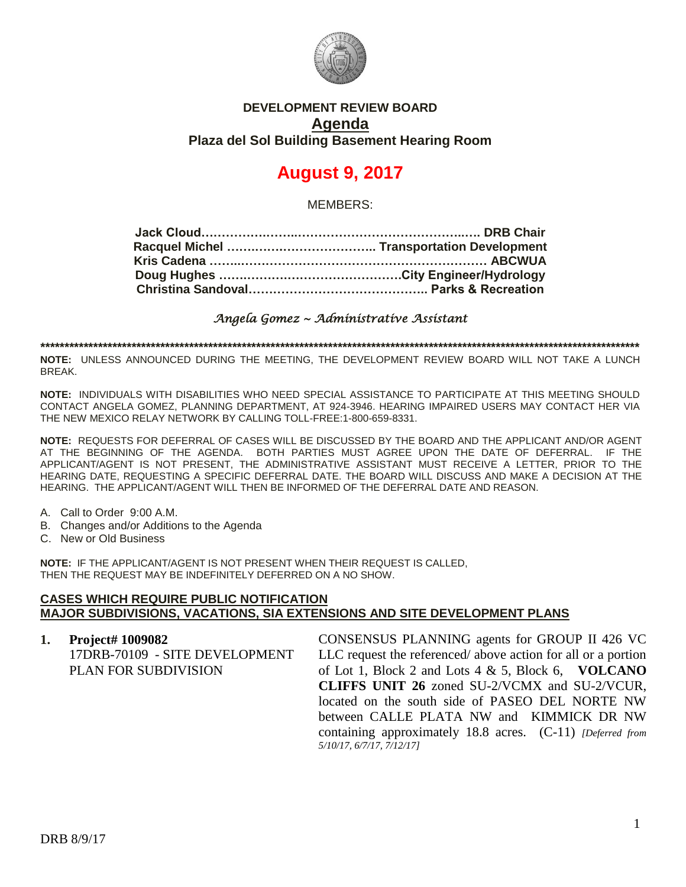

## **DEVELOPMENT REVIEW BOARD Agenda Plaza del Sol Building Basement Hearing Room**

# **August 9, 2017**

MEMBERS:

*Angela Gomez ~ Administrative Assistant* 

**\*\*\*\*\*\*\*\*\*\*\*\*\*\*\*\*\*\*\*\*\*\*\*\*\*\*\*\*\*\*\*\*\*\*\*\*\*\*\*\*\*\*\*\*\*\*\*\*\*\*\*\*\*\*\*\*\*\*\*\*\*\*\*\*\*\*\*\*\*\*\*\*\*\*\*\*\*\*\*\*\*\*\*\*\*\*\*\*\*\*\*\*\*\*\*\*\*\*\*\*\*\*\*\*\*\*\*\*\*\*\*\*\*\*\*\*\*\*\*\*\*\*\*\*\***

**NOTE:** UNLESS ANNOUNCED DURING THE MEETING, THE DEVELOPMENT REVIEW BOARD WILL NOT TAKE A LUNCH BREAK.

**NOTE:** INDIVIDUALS WITH DISABILITIES WHO NEED SPECIAL ASSISTANCE TO PARTICIPATE AT THIS MEETING SHOULD CONTACT ANGELA GOMEZ, PLANNING DEPARTMENT, AT 924-3946. HEARING IMPAIRED USERS MAY CONTACT HER VIA THE NEW MEXICO RELAY NETWORK BY CALLING TOLL-FREE:1-800-659-8331.

**NOTE:** REQUESTS FOR DEFERRAL OF CASES WILL BE DISCUSSED BY THE BOARD AND THE APPLICANT AND/OR AGENT AT THE BEGINNING OF THE AGENDA. BOTH PARTIES MUST AGREE UPON THE DATE OF DEFERRAL. IF THE APPLICANT/AGENT IS NOT PRESENT, THE ADMINISTRATIVE ASSISTANT MUST RECEIVE A LETTER, PRIOR TO THE HEARING DATE, REQUESTING A SPECIFIC DEFERRAL DATE. THE BOARD WILL DISCUSS AND MAKE A DECISION AT THE HEARING. THE APPLICANT/AGENT WILL THEN BE INFORMED OF THE DEFERRAL DATE AND REASON.

- A. Call to Order 9:00 A.M.
- B. Changes and/or Additions to the Agenda
- C. New or Old Business

**NOTE:** IF THE APPLICANT/AGENT IS NOT PRESENT WHEN THEIR REQUEST IS CALLED, THEN THE REQUEST MAY BE INDEFINITELY DEFERRED ON A NO SHOW.

#### **CASES WHICH REQUIRE PUBLIC NOTIFICATION MAJOR SUBDIVISIONS, VACATIONS, SIA EXTENSIONS AND SITE DEVELOPMENT PLANS**

| 1. Project# $1009082$          | CONSENSUS PLANNING agents for GROUP II 426 VC                |
|--------------------------------|--------------------------------------------------------------|
| 17DRB-70109 - SITE DEVELOPMENT | LLC request the referenced/above action for all or a portion |
| PLAN FOR SUBDIVISION           | of Lot 1, Block 2 and Lots 4 $\&$ 5, Block 6, VOLCANO        |
|                                | <b>CLIFFS UNIT 26 zoned SU-2/VCMX and SU-2/VCUR,</b>         |
|                                | located on the south side of PASEO DEL NORTE NW              |
|                                | between CALLE PLATA NW and KIMMICK DR NW                     |
|                                | containing approximately 18.8 acres. $(C-11)$ [Deferred from |
|                                | 5/10/17, 6/7/17, 7/12/17]                                    |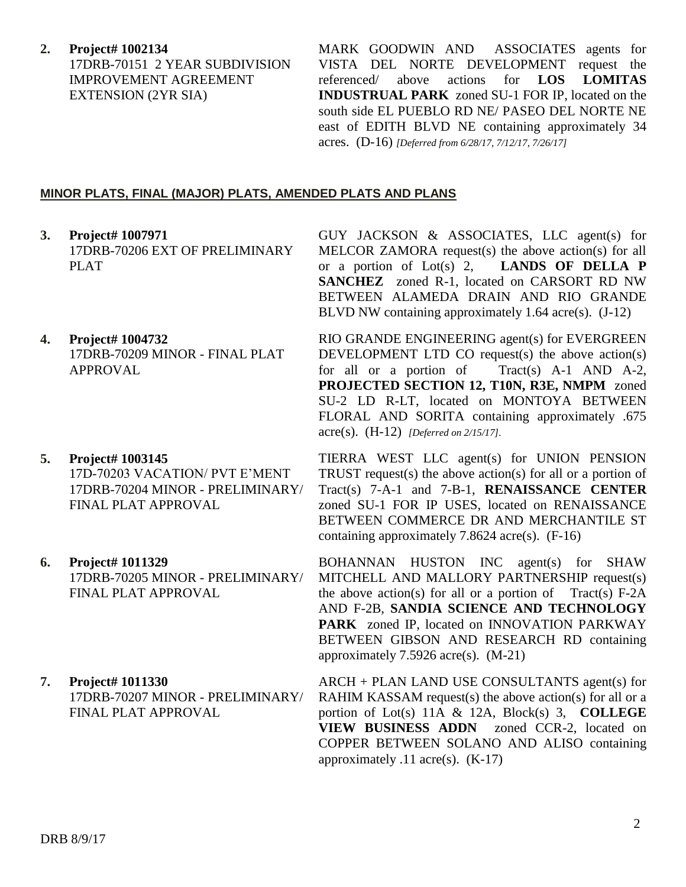**2. Project# 1002134** 17DRB-70151 2 YEAR SUBDIVISION IMPROVEMENT AGREEMENT EXTENSION (2YR SIA)

MARK GOODWIN AND ASSOCIATES agents for VISTA DEL NORTE DEVELOPMENT request the referenced/ above actions for **LOS LOMITAS INDUSTRUAL PARK** zoned SU-1 FOR IP, located on the south side EL PUEBLO RD NE/ PASEO DEL NORTE NE east of EDITH BLVD NE containing approximately 34 acres. (D-16) *[Deferred from 6/28/17, 7/12/17, 7/26/17]*

### **MINOR PLATS, FINAL (MAJOR) PLATS, AMENDED PLATS AND PLANS**

- **3. Project# 1007971** 17DRB-70206 EXT OF PRELIMINARY PLAT
- **4. Project# 1004732** 17DRB-70209 MINOR - FINAL PLAT APPROVAL
- **5. Project# 1003145** 17D-70203 VACATION/ PVT E'MENT 17DRB-70204 MINOR - PRELIMINARY/ FINAL PLAT APPROVAL
- **6. Project# 1011329** 17DRB-70205 MINOR - PRELIMINARY/ FINAL PLAT APPROVAL
- **7. Project# 1011330** 17DRB-70207 MINOR - PRELIMINARY/ FINAL PLAT APPROVAL

GUY JACKSON & ASSOCIATES, LLC agent(s) for MELCOR ZAMORA request(s) the above action(s) for all or a portion of Lot(s) 2, **LANDS OF DELLA P SANCHEZ** zoned R-1, located on CARSORT RD NW BETWEEN ALAMEDA DRAIN AND RIO GRANDE BLVD NW containing approximately 1.64 acre(s). (J-12)

RIO GRANDE ENGINEERING agent(s) for EVERGREEN DEVELOPMENT LTD CO request $(s)$  the above action $(s)$ for all or a portion of Tract(s) A-1 AND A-2, **PROJECTED SECTION 12, T10N, R3E, NMPM** zoned SU-2 LD R-LT, located on MONTOYA BETWEEN FLORAL AND SORITA containing approximately .675 acre(s). (H-12) *[Deferred on 2/15/17].*

TIERRA WEST LLC agent(s) for UNION PENSION TRUST request(s) the above action(s) for all or a portion of Tract(s) 7-A-1 and 7-B-1, **RENAISSANCE CENTER** zoned SU-1 FOR IP USES, located on RENAISSANCE BETWEEN COMMERCE DR AND MERCHANTILE ST containing approximately 7.8624 acre(s). (F-16)

BOHANNAN HUSTON INC agent(s) for SHAW MITCHELL AND MALLORY PARTNERSHIP request(s) the above action(s) for all or a portion of Tract(s)  $F-2A$ AND F-2B, **SANDIA SCIENCE AND TECHNOLOGY PARK** zoned IP, located on INNOVATION PARKWAY BETWEEN GIBSON AND RESEARCH RD containing approximately 7.5926 acre(s). (M-21)

ARCH + PLAN LAND USE CONSULTANTS agent(s) for RAHIM KASSAM request(s) the above action(s) for all or a portion of Lot(s) 11A & 12A, Block(s) 3, **COLLEGE VIEW BUSINESS ADDN** zoned CCR-2, located on COPPER BETWEEN SOLANO AND ALISO containing approximately  $.11$  acre(s).  $(K-17)$